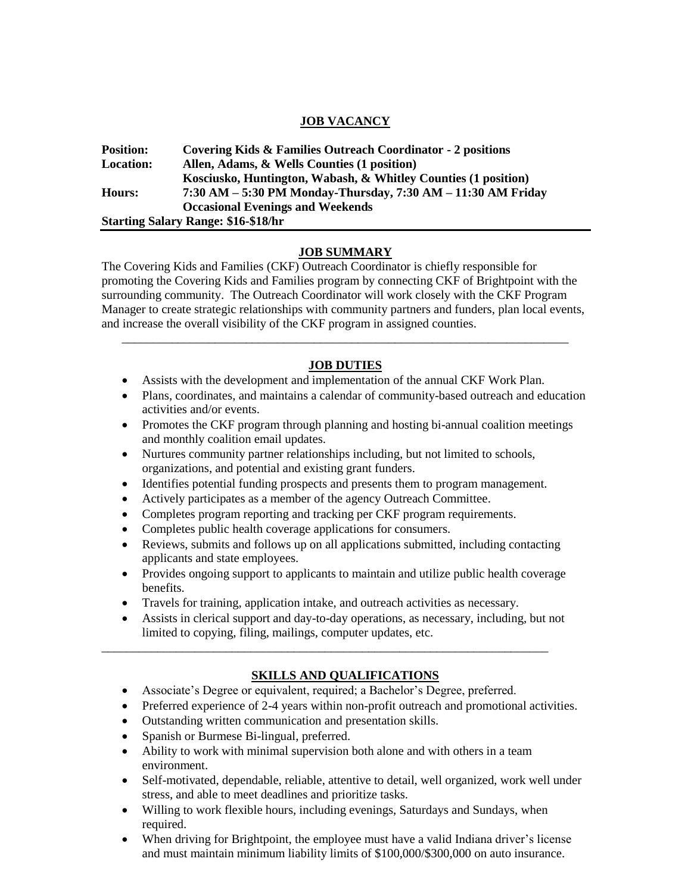## **JOB VACANCY**

| <b>Position:</b> | Covering Kids & Families Outreach Coordinator - 2 positions    |
|------------------|----------------------------------------------------------------|
| <b>Location:</b> | Allen, Adams, & Wells Counties (1 position)                    |
|                  | Kosciusko, Huntington, Wabash, & Whitley Counties (1 position) |
| Hours:           | 7:30 AM - 5:30 PM Monday-Thursday, 7:30 AM - 11:30 AM Friday   |
|                  | <b>Occasional Evenings and Weekends</b>                        |
|                  | <b>Starting Salary Range: \$16-\$18/hr</b>                     |

#### **JOB SUMMARY**

The Covering Kids and Families (CKF) Outreach Coordinator is chiefly responsible for promoting the Covering Kids and Families program by connecting CKF of Brightpoint with the surrounding community. The Outreach Coordinator will work closely with the CKF Program Manager to create strategic relationships with community partners and funders, plan local events, and increase the overall visibility of the CKF program in assigned counties.

## **JOB DUTIES**

\_\_\_\_\_\_\_\_\_\_\_\_\_\_\_\_\_\_\_\_\_\_\_\_\_\_\_\_\_\_\_\_\_\_\_\_\_\_\_\_\_\_\_\_\_\_\_\_\_\_\_\_\_\_\_\_\_\_\_\_\_\_\_\_\_\_\_\_\_\_\_\_

- Assists with the development and implementation of the annual CKF Work Plan.
- Plans, coordinates, and maintains a calendar of community-based outreach and education activities and/or events.
- Promotes the CKF program through planning and hosting bi-annual coalition meetings and monthly coalition email updates.
- Nurtures community partner relationships including, but not limited to schools, organizations, and potential and existing grant funders.
- Identifies potential funding prospects and presents them to program management.
- Actively participates as a member of the agency Outreach Committee.
- Completes program reporting and tracking per CKF program requirements.
- Completes public health coverage applications for consumers.
- Reviews, submits and follows up on all applications submitted, including contacting applicants and state employees.
- Provides ongoing support to applicants to maintain and utilize public health coverage benefits.
- Travels for training, application intake, and outreach activities as necessary.

\_\_\_\_\_\_\_\_\_\_\_\_\_\_\_\_\_\_\_\_\_\_\_\_\_\_\_\_\_\_\_\_\_\_\_\_\_\_\_\_\_\_\_\_\_\_\_\_\_\_\_\_\_\_\_\_\_\_\_\_\_\_\_\_\_\_\_\_\_\_\_\_

 Assists in clerical support and day-to-day operations, as necessary, including, but not limited to copying, filing, mailings, computer updates, etc.

# **SKILLS AND QUALIFICATIONS**

- Associate's Degree or equivalent, required; a Bachelor's Degree, preferred.
- Preferred experience of 2-4 years within non-profit outreach and promotional activities.
- Outstanding written communication and presentation skills.
- Spanish or Burmese Bi-lingual, preferred.
- Ability to work with minimal supervision both alone and with others in a team environment.
- Self-motivated, dependable, reliable, attentive to detail, well organized, work well under stress, and able to meet deadlines and prioritize tasks.
- Willing to work flexible hours, including evenings, Saturdays and Sundays, when required.
- When driving for Brightpoint, the employee must have a valid Indiana driver's license and must maintain minimum liability limits of \$100,000/\$300,000 on auto insurance.